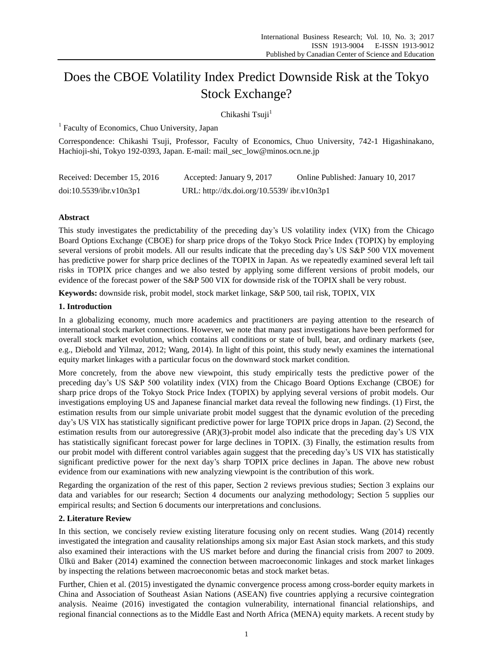# Does the CBOE Volatility Index Predict Downside Risk at the Tokyo Stock Exchange?

Chikashi Tsuji<sup>1</sup>

<sup>1</sup> Faculty of Economics, Chuo University, Japan

Correspondence: Chikashi Tsuji, Professor, Faculty of Economics, Chuo University, 742-1 Higashinakano, Hachioji-shi, Tokyo 192-0393, Japan. E-mail: mail\_sec\_low@minos.ocn.ne.jp

| Received: December 15, 2016 | Accepted: January 9, 2017                   | Online Published: January 10, 2017 |
|-----------------------------|---------------------------------------------|------------------------------------|
| doi:10.5539/ibr.v10n3p1     | URL: http://dx.doi.org/10.5539/ ibr.v10n3p1 |                                    |

# **Abstract**

This study investigates the predictability of the preceding day's US volatility index (VIX) from the Chicago Board Options Exchange (CBOE) for sharp price drops of the Tokyo Stock Price Index (TOPIX) by employing several versions of probit models. All our results indicate that the preceding day's US S&P 500 VIX movement has predictive power for sharp price declines of the TOPIX in Japan. As we repeatedly examined several left tail risks in TOPIX price changes and we also tested by applying some different versions of probit models, our evidence of the forecast power of the S&P 500 VIX for downside risk of the TOPIX shall be very robust.

**Keywords:** downside risk, probit model, stock market linkage, S&P 500, tail risk, TOPIX, VIX

# **1. Introduction**

In a globalizing economy, much more academics and practitioners are paying attention to the research of international stock market connections. However, we note that many past investigations have been performed for overall stock market evolution, which contains all conditions or state of bull, bear, and ordinary markets (see, e.g., Diebold and Yilmaz, 2012; Wang, 2014). In light of this point, this study newly examines the international equity market linkages with a particular focus on the downward stock market condition.

More concretely, from the above new viewpoint, this study empirically tests the predictive power of the preceding day's US S&P 500 volatility index (VIX) from the Chicago Board Options Exchange (CBOE) for sharp price drops of the Tokyo Stock Price Index (TOPIX) by applying several versions of probit models. Our investigations employing US and Japanese financial market data reveal the following new findings. (1) First, the estimation results from our simple univariate probit model suggest that the dynamic evolution of the preceding day's US VIX has statistically significant predictive power for large TOPIX price drops in Japan. (2) Second, the estimation results from our autoregressive (AR)(3)-probit model also indicate that the preceding day's US VIX has statistically significant forecast power for large declines in TOPIX. (3) Finally, the estimation results from our probit model with different control variables again suggest that the preceding day's US VIX has statistically significant predictive power for the next day's sharp TOPIX price declines in Japan. The above new robust evidence from our examinations with new analyzing viewpoint is the contribution of this work.

Regarding the organization of the rest of this paper, Section 2 reviews previous studies; Section 3 explains our data and variables for our research; Section 4 documents our analyzing methodology; Section 5 supplies our empirical results; and Section 6 documents our interpretations and conclusions.

# **2. Literature Review**

In this section, we concisely review existing literature focusing only on recent studies. Wang (2014) recently investigated the integration and causality relationships among six major East Asian stock markets, and this study also examined their interactions with the US market before and during the financial crisis from 2007 to 2009. Ülkü and Baker (2014) examined the connection between macroeconomic linkages and stock market linkages by inspecting the relations between macroeconomic betas and stock market betas.

Further, Chien et al. (2015) investigated the dynamic convergence process among cross-border equity markets in China and Association of Southeast Asian Nations (ASEAN) five countries applying a recursive cointegration analysis. Neaime (2016) investigated the contagion vulnerability, international financial relationships, and regional financial connections as to the Middle East and North Africa (MENA) equity markets. A recent study by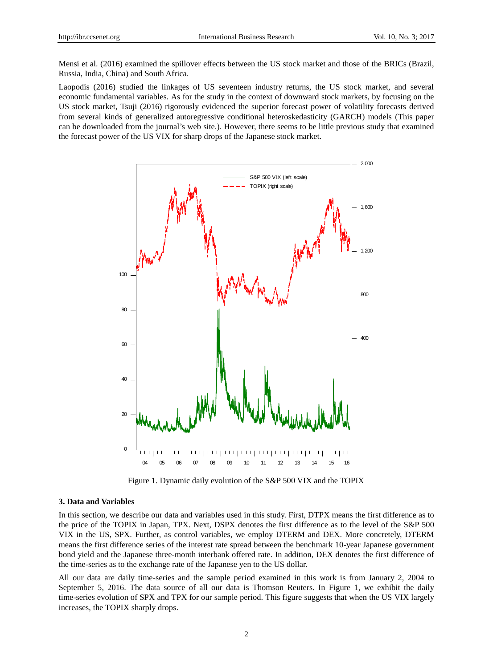Mensi et al. (2016) examined the spillover effects between the US stock market and those of the BRICs (Brazil, Russia, India, China) and South Africa.

Laopodis (2016) studied the linkages of US seventeen industry returns, the US stock market, and several economic fundamental variables. As for the study in the context of downward stock markets, by focusing on the US stock market, Tsuji (2016) rigorously evidenced the superior forecast power of volatility forecasts derived from several kinds of generalized autoregressive conditional heteroskedasticity (GARCH) models (This paper can be downloaded from the journal's web site.). However, there seems to be little previous study that examined the forecast power of the US VIX for sharp drops of the Japanese stock market.



Figure 1. Dynamic daily evolution of the S&P 500 VIX and the TOPIX

#### **3. Data and Variables**

In this section, we describe our data and variables used in this study. First, DTPX means the first difference as to the price of the TOPIX in Japan, TPX. Next, DSPX denotes the first difference as to the level of the S&P 500 VIX in the US, SPX. Further, as control variables, we employ DTERM and DEX. More concretely, DTERM means the first difference series of the interest rate spread between the benchmark 10-year Japanese government bond yield and the Japanese three-month interbank offered rate. In addition, DEX denotes the first difference of the time-series as to the exchange rate of the Japanese yen to the US dollar.

All our data are daily time-series and the sample period examined in this work is from January 2, 2004 to September 5, 2016. The data source of all our data is Thomson Reuters. In Figure 1, we exhibit the daily time-series evolution of SPX and TPX for our sample period. This figure suggests that when the US VIX largely increases, the TOPIX sharply drops.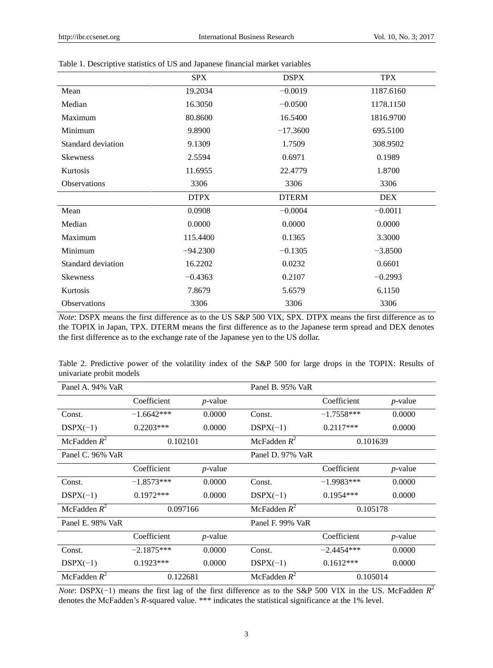|                     | <b>SPX</b>  | <b>DSPX</b>  | <b>TPX</b> |
|---------------------|-------------|--------------|------------|
| Mean                | 19.2034     | $-0.0019$    | 1187.6160  |
| Median              | 16.3050     | $-0.0500$    | 1178.1150  |
| Maximum             | 80.8600     | 16.5400      | 1816.9700  |
| Minimum             | 9.8900      | $-17.3600$   | 695.5100   |
| Standard deviation  | 9.1309      | 1.7509       | 308.9502   |
| <b>Skewness</b>     | 2.5594      | 0.6971       | 0.1989     |
| Kurtosis            | 11.6955     | 22.4779      | 1.8700     |
| <b>Observations</b> | 3306        | 3306         | 3306       |
|                     | <b>DTPX</b> | <b>DTERM</b> | <b>DEX</b> |
| Mean                | 0.0908      | $-0.0004$    | $-0.0011$  |
| Median              | 0.0000      | 0.0000       | 0.0000     |
| Maximum             | 115.4400    | 0.1365       | 3.3000     |
| Minimum             | $-94.2300$  | $-0.1305$    | $-3.8500$  |
| Standard deviation  | 16.2202     | 0.0232       | 0.6601     |
| <b>Skewness</b>     | $-0.4363$   | 0.2107       | $-0.2993$  |
| Kurtosis            | 7.8679      | 5.6579       | 6.1150     |
| <b>Observations</b> | 3306        | 3306         | 3306       |

# Table 1. Descriptive statistics of US and Japanese financial market variables

*Note*: DSPX means the first difference as to the US S&P 500 VIX, SPX. DTPX means the first difference as to the TOPIX in Japan, TPX. DTERM means the first difference as to the Japanese term spread and DEX denotes the first difference as to the exchange rate of the Japanese yen to the US dollar.

| Table 2. Predictive power of the volatility index of the S&P 500 for large drops in the TOPIX: Results of |  |  |  |  |  |  |  |  |  |
|-----------------------------------------------------------------------------------------------------------|--|--|--|--|--|--|--|--|--|
| univariate probit models                                                                                  |  |  |  |  |  |  |  |  |  |

| Panel A. 94% VaR |              |            | Panel B. 95% VaR |              |            |  |
|------------------|--------------|------------|------------------|--------------|------------|--|
|                  | Coefficient  | $p$ -value |                  | Coefficient  | $p$ -value |  |
| Const.           | $-1.6642***$ | 0.0000     | Const.           | $-1.7558***$ | 0.0000     |  |
| $DSPX(-1)$       | $0.2203***$  | 0.0000     | $DSPX(-1)$       | $0.2117***$  | 0.0000     |  |
| McFadden $R^2$   | 0.102101     |            | McFadden $R^2$   | 0.101639     |            |  |
| Panel C. 96% VaR |              |            | Panel D. 97% VaR |              |            |  |
|                  | Coefficient  | $p$ -value |                  | Coefficient  | $p$ -value |  |
| Const.           | $-1.8573***$ | 0.0000     | Const.           | $-1.9983***$ | 0.0000     |  |
| $DSPX(-1)$       | $0.1972***$  | 0.0000     | $DSPX(-1)$       | $0.1954***$  | 0.0000     |  |
| McFadden $R^2$   | 0.097166     |            | McFadden $R^2$   | 0.105178     |            |  |
| Panel E. 98% VaR |              |            | Panel F. 99% VaR |              |            |  |
|                  | Coefficient  | $p$ -value |                  | Coefficient  | $p$ -value |  |
| Const.           | $-2.1875***$ | 0.0000     | Const.           | $-2.4454***$ | 0.0000     |  |
| $DSPX(-1)$       | $0.1923***$  | 0.0000     | $DSPX(-1)$       | $0.1612***$  | 0.0000     |  |
| McFadden $R^2$   | 0.122681     |            | McFadden $R^2$   | 0.105014     |            |  |

*Note*: DSPX(−1) means the first lag of the first difference as to the S&P 500 VIX in the US. McFadden  $R^2$ denotes the McFadden's *R*-squared value. \*\*\* indicates the statistical significance at the 1% level.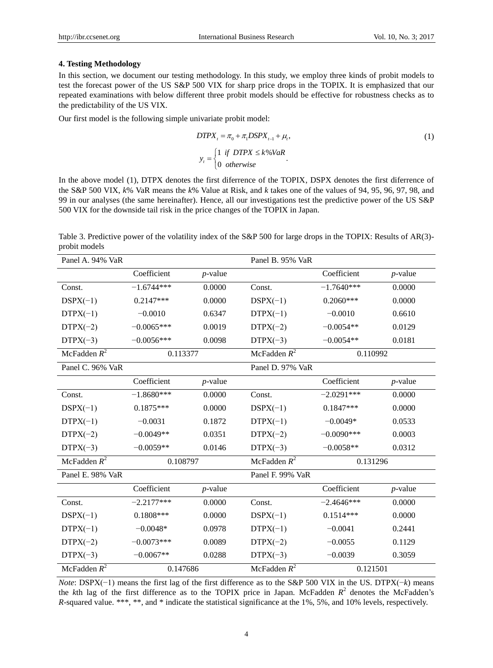#### **4. Testing Methodology**

In this section, we document our testing methodology. In this study, we employ three kinds of probit models to test the forecast power of the US S&P 500 VIX for sharp price drops in the TOPIX. It is emphasized that our repeated examinations with below different three probit models should be effective for robustness checks as to the predictability of the US VIX.

Our first model is the following simple univariate probit model:

$$
DTPX_{t} = \pi_{0} + \pi_{1}DSPX_{t-1} + \mu_{t},
$$
  
\n
$$
y_{t} = \begin{cases} 1 & \text{if } DTPX \le k\% VaR \\ 0 & \text{otherwise} \end{cases}.
$$
 (1)

In the above model (1), DTPX denotes the first diferrence of the TOPIX, DSPX denotes the first diferrence of the S&P 500 VIX, *k*% VaR means the *k*% Value at Risk, and *k* takes one of the values of 94, 95, 96, 97, 98, and 99 in our analyses (the same hereinafter). Hence, all our investigations test the predictive power of the US S&P 500 VIX for the downside tail risk in the price changes of the TOPIX in Japan.

Table 3. Predictive power of the volatility index of the S&P 500 for large drops in the TOPIX: Results of AR(3)probit models

| Panel A. 94% VaR |              |            | Panel B. 95% VaR |              |            |
|------------------|--------------|------------|------------------|--------------|------------|
|                  | Coefficient  | $p$ -value |                  | Coefficient  | $p$ -value |
| Const.           | $-1.6744***$ | 0.0000     | Const.           | $-1.7640***$ | 0.0000     |
| $DSPX(-1)$       | $0.2147***$  | 0.0000     | $DSPX(-1)$       | $0.2060***$  | 0.0000     |
| $DTPX(-1)$       | $-0.0010$    | 0.6347     | $DTPX(-1)$       | $-0.0010$    | 0.6610     |
| $DTPX(-2)$       | $-0.0065***$ | 0.0019     | $DTPX(-2)$       | $-0.0054**$  | 0.0129     |
| $DTPX(-3)$       | $-0.0056***$ | 0.0098     | $DTPX(-3)$       | $-0.0054**$  | 0.0181     |
| McFadden $R^2$   | 0.113377     |            | McFadden $R^2$   | 0.110992     |            |
| Panel C. 96% VaR |              |            | Panel D. 97% VaR |              |            |
|                  | Coefficient  | $p$ -value |                  | Coefficient  | $p$ -value |
| Const.           | $-1.8680***$ | 0.0000     | Const.           | $-2.0291***$ | 0.0000     |
| $DSPX(-1)$       | $0.1875***$  | 0.0000     | $DSPX(-1)$       | $0.1847***$  | 0.0000     |
| $DTPX(-1)$       | $-0.0031$    | 0.1872     | $DTPX(-1)$       | $-0.0049*$   | 0.0533     |
| $DTPX(-2)$       | $-0.0049**$  | 0.0351     | $DTPX(-2)$       | $-0.0090***$ | 0.0003     |
| $DTPX(-3)$       | $-0.0059**$  | 0.0146     | $DTPX(-3)$       | $-0.0058**$  | 0.0312     |
| McFadden $R^2$   | 0.108797     |            | McFadden $R^2$   | 0.131296     |            |
| Panel E. 98% VaR |              |            | Panel F. 99% VaR |              |            |
|                  | Coefficient  | $p$ -value |                  | Coefficient  | $p$ -value |
| Const.           | $-2.2177***$ | 0.0000     | Const.           | $-2.4646***$ | 0.0000     |
| $DSPX(-1)$       | $0.1808***$  | 0.0000     | $DSPX(-1)$       | $0.1514***$  | 0.0000     |
| $DTPX(-1)$       | $-0.0048*$   | 0.0978     | $DTPX(-1)$       | $-0.0041$    | 0.2441     |
| $DTPX(-2)$       | $-0.0073***$ | 0.0089     | $DTPX(-2)$       | $-0.0055$    | 0.1129     |
| $DTPX(-3)$       | $-0.0067**$  | 0.0288     | $DTPX(-3)$       | $-0.0039$    | 0.3059     |
| McFadden $R^2$   | 0.147686     |            | McFadden $R^2$   | 0.121501     |            |

*Note*: DSPX(−1) means the first lag of the first difference as to the S&P 500 VIX in the US. DTPX(−*k*) means the *k*th lag of the first difference as to the TOPIX price in Japan. McFadden  $R^2$  denotes the McFadden's *R*-squared value. \*\*\*, \*\*, and \* indicate the statistical significance at the 1%, 5%, and 10% levels, respectively.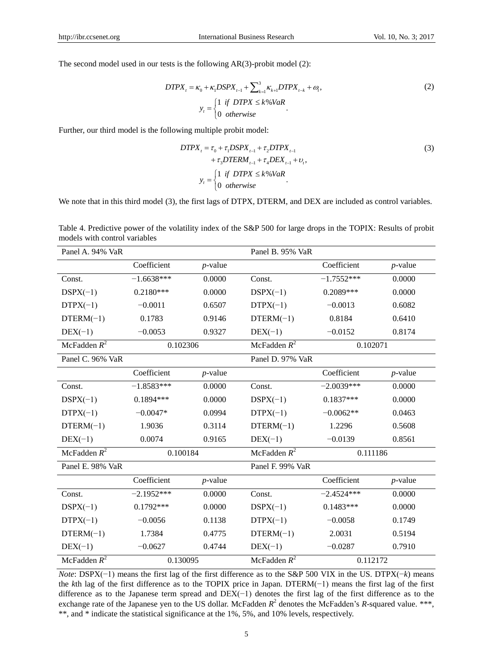The second model used in our tests is the following AR(3)-probit model (2):

$$
DTPX_{t} = \kappa_{0} + \kappa_{1}DSPX_{t-1} + \sum_{k=1}^{3} \kappa_{k+1}DTPX_{t-k} + \omega_{t},
$$
  
\n
$$
y_{t} = \begin{cases} 1 & \text{if } DTPX \le k\% VaR \\ 0 & \text{otherwise} \end{cases}.
$$
 (2)

Further, our third model is the following multiple probit model:

$$
DTPX_{t} = \tau_{0} + \tau_{1}DSPX_{t-1} + \tau_{2}DTPX_{t-1} + \tau_{3}DTERM_{t-1} + \tau_{4}DEX_{t-1} + \nu_{t},
$$
  
\n
$$
y_{t} = \begin{cases} 1 & \text{if } DTPX \le k\%VaR \\ 0 & \text{otherwise} \end{cases}.
$$
 (3)

We note that in this third model (3), the first lags of DTPX, DTERM, and DEX are included as control variables.

Table 4. Predictive power of the volatility index of the S&P 500 for large drops in the TOPIX: Results of probit models with control variables

| Panel A. 94% VaR |              |            | Panel B. 95% VaR |              |            |
|------------------|--------------|------------|------------------|--------------|------------|
|                  | Coefficient  | $p$ -value |                  | Coefficient  | $p$ -value |
| Const.           | $-1.6638***$ | 0.0000     | Const.           | $-1.7552***$ | 0.0000     |
| $DSPX(-1)$       | $0.2180***$  | 0.0000     | $DSPX(-1)$       | $0.2089***$  | 0.0000     |
| $DTPX(-1)$       | $-0.0011$    | 0.6507     | $DTPX(-1)$       | $-0.0013$    | 0.6082     |
| $DTERM(-1)$      | 0.1783       | 0.9146     | $DTERM(-1)$      | 0.8184       | 0.6410     |
| $DEX(-1)$        | $-0.0053$    | 0.9327     | $DEX(-1)$        | $-0.0152$    | 0.8174     |
| McFadden $R^2$   | 0.102306     |            | McFadden $R^2$   | 0.102071     |            |
| Panel C. 96% VaR |              |            | Panel D. 97% VaR |              |            |
|                  | Coefficient  | $p$ -value |                  | Coefficient  | $p$ -value |
| Const.           | $-1.8583***$ | 0.0000     | Const.           | $-2.0039***$ | 0.0000     |
| $DSPX(-1)$       | $0.1894***$  | 0.0000     | $DSPX(-1)$       | $0.1837***$  | 0.0000     |
| $DTPX(-1)$       | $-0.0047*$   | 0.0994     | $DTPX(-1)$       | $-0.0062**$  | 0.0463     |
| $DTERM(-1)$      | 1.9036       | 0.3114     | $DTERM(-1)$      | 1.2296       | 0.5608     |
| $DEX(-1)$        | 0.0074       | 0.9165     | $DEX(-1)$        | $-0.0139$    | 0.8561     |
| McFadden $R^2$   | 0.100184     |            | McFadden $R^2$   | 0.111186     |            |
| Panel E. 98% VaR |              |            | Panel F. 99% VaR |              |            |
|                  | Coefficient  | $p$ -value |                  | Coefficient  | $p$ -value |
| Const.           | $-2.1952***$ | 0.0000     | Const.           | $-2.4524***$ | 0.0000     |
| $DSPX(-1)$       | $0.1792***$  | 0.0000     | $DSPX(-1)$       | $0.1483***$  | 0.0000     |
| $DTPX(-1)$       | $-0.0056$    | 0.1138     | $DTPX(-1)$       | $-0.0058$    | 0.1749     |
| $DTERM(-1)$      | 1.7384       | 0.4775     | $DTERM(-1)$      | 2.0031       | 0.5194     |
| $DEX(-1)$        | $-0.0627$    | 0.4744     | $DEX(-1)$        | $-0.0287$    | 0.7910     |
| McFadden $R^2$   | 0.130095     |            |                  | 0.112172     |            |

*Note*: DSPX(−1) means the first lag of the first difference as to the S&P 500 VIX in the US. DTPX(−*k*) means the *k*th lag of the first difference as to the TOPIX price in Japan. DTERM(−1) means the first lag of the first difference as to the Japanese term spread and DEX(−1) denotes the first lag of the first difference as to the exchange rate of the Japanese yen to the US dollar. McFadden  $R^2$  denotes the McFadden's R-squared value. \*\*\*, \*\*, and \* indicate the statistical significance at the 1%, 5%, and 10% levels, respectively.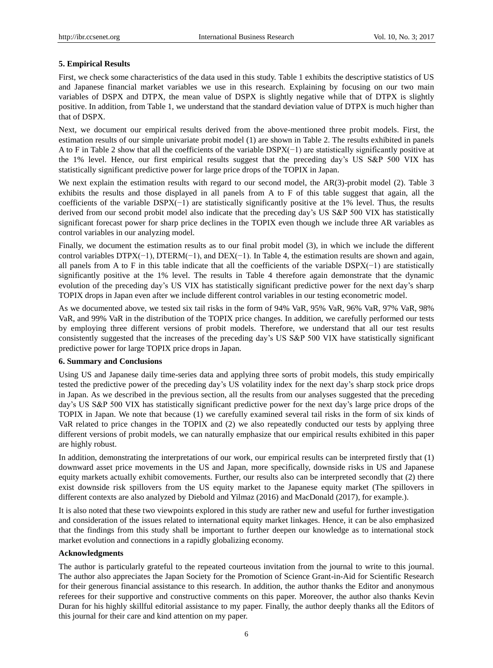### **5. Empirical Results**

First, we check some characteristics of the data used in this study. Table 1 exhibits the descriptive statistics of US and Japanese financial market variables we use in this research. Explaining by focusing on our two main variables of DSPX and DTPX, the mean value of DSPX is slightly negative while that of DTPX is slightly positive. In addition, from Table 1, we understand that the standard deviation value of DTPX is much higher than that of DSPX.

Next, we document our empirical results derived from the above-mentioned three probit models. First, the estimation results of our simple univariate probit model (1) are shown in Table 2. The results exhibited in panels A to F in Table 2 show that all the coefficients of the variable DSPX(−1) are statistically significantly positive at the 1% level. Hence, our first empirical results suggest that the preceding day's US S&P 500 VIX has statistically significant predictive power for large price drops of the TOPIX in Japan.

We next explain the estimation results with regard to our second model, the AR(3)-probit model (2). Table 3 exhibits the results and those displayed in all panels from A to F of this table suggest that again, all the coefficients of the variable DSPX(−1) are statistically significantly positive at the 1% level. Thus, the results derived from our second probit model also indicate that the preceding day's US S&P 500 VIX has statistically significant forecast power for sharp price declines in the TOPIX even though we include three AR variables as control variables in our analyzing model.

Finally, we document the estimation results as to our final probit model (3), in which we include the different control variables DTPX(−1), DTERM(−1), and DEX(−1). In Table 4, the estimation results are shown and again, all panels from A to F in this table indicate that all the coefficients of the variable DSPX(−1) are statistically significantly positive at the 1% level. The results in Table 4 therefore again demonstrate that the dynamic evolution of the preceding day's US VIX has statistically significant predictive power for the next day's sharp TOPIX drops in Japan even after we include different control variables in our testing econometric model.

As we documented above, we tested six tail risks in the form of 94% VaR, 95% VaR, 96% VaR, 97% VaR, 98% VaR, and 99% VaR in the distribution of the TOPIX price changes. In addition, we carefully performed our tests by employing three different versions of probit models. Therefore, we understand that all our test results consistently suggested that the increases of the preceding day's US S&P 500 VIX have statistically significant predictive power for large TOPIX price drops in Japan.

#### **6. Summary and Conclusions**

Using US and Japanese daily time-series data and applying three sorts of probit models, this study empirically tested the predictive power of the preceding day's US volatility index for the next day's sharp stock price drops in Japan. As we described in the previous section, all the results from our analyses suggested that the preceding day's US S&P 500 VIX has statistically significant predictive power for the next day's large price drops of the TOPIX in Japan. We note that because (1) we carefully examined several tail risks in the form of six kinds of VaR related to price changes in the TOPIX and (2) we also repeatedly conducted our tests by applying three different versions of probit models, we can naturally emphasize that our empirical results exhibited in this paper are highly robust.

In addition, demonstrating the interpretations of our work, our empirical results can be interpreted firstly that (1) downward asset price movements in the US and Japan, more specifically, downside risks in US and Japanese equity markets actually exhibit comovements. Further, our results also can be interpreted secondly that (2) there exist downside risk spillovers from the US equity market to the Japanese equity market (The spillovers in different contexts are also analyzed by Diebold and Yilmaz (2016) and MacDonald (2017), for example.).

It is also noted that these two viewpoints explored in this study are rather new and useful for further investigation and consideration of the issues related to international equity market linkages. Hence, it can be also emphasized that the findings from this study shall be important to further deepen our knowledge as to international stock market evolution and connections in a rapidly globalizing economy.

#### **Acknowledgments**

The author is particularly grateful to the repeated courteous invitation from the journal to write to this journal. The author also appreciates the Japan Society for the Promotion of Science Grant-in-Aid for Scientific Research for their generous financial assistance to this research. In addition, the author thanks the Editor and anonymous referees for their supportive and constructive comments on this paper. Moreover, the author also thanks Kevin Duran for his highly skillful editorial assistance to my paper. Finally, the author deeply thanks all the Editors of this journal for their care and kind attention on my paper.